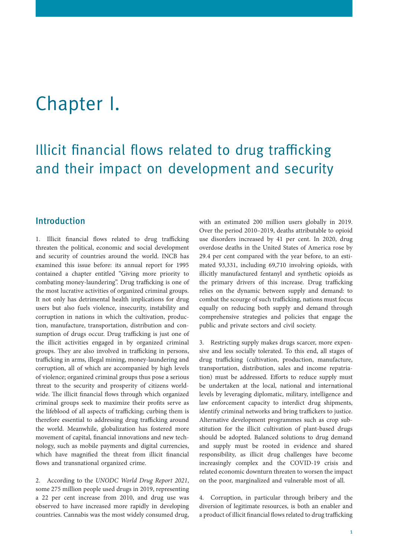# Chapter I.

## Illicit financial flows related to drug trafficking and their impact on development and security

### Introduction

1. Illicit financial flows related to drug trafficking threaten the political, economic and social development and security of countries around the world. INCB has examined this issue before: its annual report for 1995 contained a chapter entitled "Giving more priority to combating money-laundering". Drug trafficking is one of the most lucrative activities of organized criminal groups. It not only has detrimental health implications for drug users but also fuels violence, insecurity, instability and corruption in nations in which the cultivation, production, manufacture, transportation, distribution and consumption of drugs occur. Drug trafficking is just one of the illicit activities engaged in by organized criminal groups. They are also involved in trafficking in persons, trafficking in arms, illegal mining, money-laundering and corruption, all of which are accompanied by high levels of violence; organized criminal groups thus pose a serious threat to the security and prosperity of citizens worldwide. The illicit financial flows through which organized criminal groups seek to maximize their profits serve as the lifeblood of all aspects of trafficking; curbing them is therefore essential to addressing drug trafficking around the world. Meanwhile, globalization has fostered more movement of capital, financial innovations and new technology, such as mobile payments and digital currencies, which have magnified the threat from illicit financial flows and transnational organized crime.

2. According to the *UNODC World Drug Report 2021*, some 275 million people used drugs in 2019, representing a 22 per cent increase from 2010, and drug use was observed to have increased more rapidly in developing countries. Cannabis was the most widely consumed drug,

with an estimated 200 million users globally in 2019. Over the period 2010–2019, deaths attributable to opioid use disorders increased by 41 per cent. In 2020, drug overdose deaths in the United States of America rose by 29.4 per cent compared with the year before, to an estimated 93,331, including 69,710 involving opioids, with illicitly manufactured fentanyl and synthetic opioids as the primary drivers of this increase. Drug trafficking relies on the dynamic between supply and demand: to combat the scourge of such trafficking, nations must focus equally on reducing both supply and demand through comprehensive strategies and policies that engage the public and private sectors and civil society.

3. Restricting supply makes drugs scarcer, more expensive and less socially tolerated. To this end, all stages of drug trafficking (cultivation, production, manufacture, transportation, distribution, sales and income repatriation) must be addressed. Efforts to reduce supply must be undertaken at the local, national and international levels by leveraging diplomatic, military, intelligence and law enforcement capacity to interdict drug shipments, identify criminal networks and bring traffickers to justice. Alternative development programmes such as crop substitution for the illicit cultivation of plant-based drugs should be adopted. Balanced solutions to drug demand and supply must be rooted in evidence and shared responsibility, as illicit drug challenges have become increasingly complex and the COVID-19 crisis and related economic downturn threaten to worsen the impact on the poor, marginalized and vulnerable most of all.

4. Corruption, in particular through bribery and the diversion of legitimate resources, is both an enabler and a product of illicit financial flows related to drug trafficking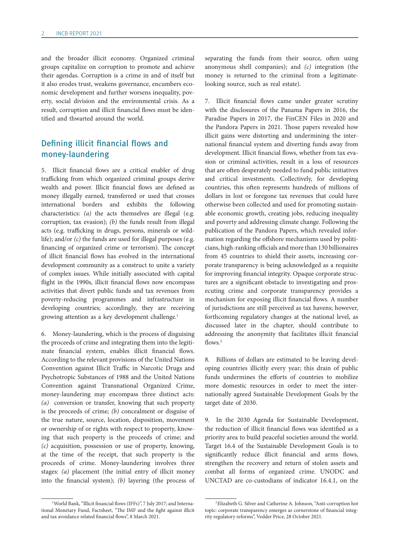and the broader illicit economy. Organized criminal groups capitalize on corruption to promote and achieve their agendas. Corruption is a crime in and of itself but it also erodes trust, weakens governance, encumbers economic development and further worsens inequality, poverty, social division and the environmental crisis. As a result, corruption and illicit financial flows must be identified and thwarted around the world.

#### Defining illicit financial flows and money-laundering

5. Illicit financial flows are a critical enabler of drug trafficking from which organized criminal groups derive wealth and power. Illicit financial flows are defined as money illegally earned, transferred or used that crosses international borders and exhibits the following characteristics: *(a)* the acts themselves are illegal (e.g. corruption, tax evasion); *(b)* the funds result from illegal acts (e.g. trafficking in drugs, persons, minerals or wildlife); and/or *(c)* the funds are used for illegal purposes (e.g. financing of organized crime or terrorism). The concept of illicit financial flows has evolved in the international development community as a construct to unite a variety of complex issues. While initially associated with capital flight in the 1990s, illicit financial flows now encompass activities that divert public funds and tax revenues from poverty-reducing programmes and infrastructure in developing countries; accordingly, they are receiving growing attention as a key development challenge.<sup>1</sup>

6. Money-laundering, which is the process of disguising the proceeds of crime and integrating them into the legitimate financial system, enables illicit financial flows. According to the relevant provisions of the United Nations Convention against Illicit Traffic in Narcotic Drugs and Psychotropic Substances of 1988 and the United Nations Convention against Transnational Organized Crime, money-laundering may encompass three distinct acts: (a) conversion or transfer, knowing that such property is the proceeds of crime; *(b)* concealment or disguise of the true nature, source, location, disposition, movement or ownership of or rights with respect to property, knowing that such property is the proceeds of crime; and *(c)* acquisition, possession or use of property, knowing, at the time of the receipt, that such property is the proceeds of crime. Money-laundering involves three stages: *(a)* placement (the initial entry of illicit money into the financial system); *(b)* layering (the process of separating the funds from their source, often using anonymous shell companies); and *(c)* integration (the money is returned to the criminal from a legitimatelooking source, such as real estate).

7. Illicit financial flows came under greater scrutiny with the disclosures of the Panama Papers in 2016, the Paradise Papers in 2017, the FinCEN Files in 2020 and the Pandora Papers in 2021. Those papers revealed how illicit gains were distorting and undermining the international financial system and diverting funds away from development. Illicit financial flows, whether from tax evasion or criminal activities, result in a loss of resources that are often desperately needed to fund public initiatives and critical investments. Collectively, for developing countries, this often represents hundreds of millions of dollars in lost or foregone tax revenues that could have otherwise been collected and used for promoting sustainable economic growth, creating jobs, reducing inequality and poverty and addressing climate change. Following the publication of the Pandora Papers, which revealed information regarding the offshore mechanisms used by politicians, high-ranking officials and more than 130 billionaires from 45 countries to shield their assets, increasing corporate transparency is being acknowledged as a requisite for improving financial integrity. Opaque corporate structures are a significant obstacle to investigating and prosecuting crime and corporate transparency provides a mechanism for exposing illicit financial flows. A number of jurisdictions are still perceived as tax havens; however, forthcoming regulatory changes at the national level, as discussed later in the chapter, should contribute to addressing the anonymity that facilitates illicit financial flows.<sup>2</sup>

8. Billions of dollars are estimated to be leaving developing countries illicitly every year; this drain of public funds undermines the efforts of countries to mobilize more domestic resources in order to meet the internationally agreed Sustainable Development Goals by the target date of 2030.

9. In the 2030 Agenda for Sustainable Development, the reduction of illicit financial flows was identified as a priority area to build peaceful societies around the world. Target 16.4 of the Sustainable Development Goals is to significantly reduce illicit financial and arms flows, strengthen the recovery and return of stolen assets and combat all forms of organized crime. UNODC and UNCTAD are co-custodians of indicator 16.4.1, on the

<sup>&</sup>lt;sup>1</sup>World Bank, "Illicit financial flows (IFFs)", 7 July 2017; and International Monetary Fund, Factsheet, "The IMF and the fight against illicit and tax avoidance related financial flows", 8 March 2021.

<sup>2</sup>Elizabeth G. Silver and Catherine A. Johnson, "Anti-corruption hot topic: corporate transparency emerges as cornerstone of financial integrity regulatory reforms", Vedder Price, 28 October 2021.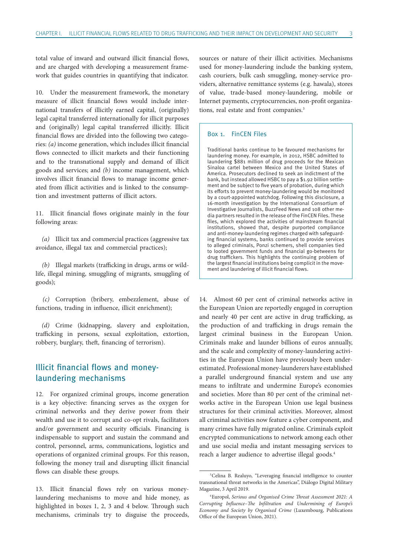total value of inward and outward illicit financial flows, and are charged with developing a measurement framework that guides countries in quantifying that indicator.

10. Under the measurement framework, the monetary measure of illicit financial flows would include international transfers of illicitly earned capital, (originally) legal capital transferred internationally for illicit purposes and (originally) legal capital transferred illicitly. Illicit financial flows are divided into the following two categories: *(a)* income generation, which includes illicit financial flows connected to illicit markets and their functioning and to the transnational supply and demand of illicit goods and services; and *(b)* income management, which involves illicit financial flows to manage income generated from illicit activities and is linked to the consumption and investment patterns of illicit actors.

11. Illicit financial flows originate mainly in the four following areas:

*(a)* Illicit tax and commercial practices (aggressive tax avoidance, illegal tax and commercial practices);

*(b)* Illegal markets (trafficking in drugs, arms or wildlife, illegal mining, smuggling of migrants, smuggling of goods);

*(c)* Corruption (bribery, embezzlement, abuse of functions, trading in influence, illicit enrichment);

*(d)* Crime (kidnapping, slavery and exploitation, trafficking in persons, sexual exploitation, extortion, robbery, burglary, theft, financing of terrorism).

#### Illicit financial flows and moneylaundering mechanisms

12. For organized criminal groups, income generation is a key objective: financing serves as the oxygen for criminal networks and they derive power from their wealth and use it to corrupt and co-opt rivals, facilitators and/or government and security officials. Financing is indispensable to support and sustain the command and control, personnel, arms, communications, logistics and operations of organized criminal groups. For this reason, following the money trail and disrupting illicit financial flows can disable these groups.

13. Illicit financial flows rely on various moneylaundering mechanisms to move and hide money, as highlighted in boxes 1, 2, 3 and 4 below. Through such mechanisms, criminals try to disguise the proceeds,

sources or nature of their illicit activities. Mechanisms used for money-laundering include the banking system, cash couriers, bulk cash smuggling, money-service providers, alternative remittance systems (e.g. hawala), stores of value, trade-based money-laundering, mobile or Internet payments, cryptocurrencies, non-profit organizations, real estate and front companies.<sup>3</sup>

#### Box 1. FinCEN Files

Traditional banks continue to be favoured mechanisms for laundering money. For example, in 2012, HSBC admitted to laundering \$881 million of drug proceeds for the Mexican Sinaloa cartel between Mexico and the United States of America. Prosecutors declined to seek an indictment of the bank, but instead allowed HSBC to pay a \$1.92 billion settlement and be subject to five years of probation, during which its efforts to prevent money-laundering would be monitored by a court-appointed watchdog. Following this disclosure, a 16-month investigation by the International Consortium of Investigative Journalists, BuzzFeed News and 108 other media partners resulted in the release of the FinCEN Files. These files, which explored the activities of mainstream financial institutions, showed that, despite purported compliance and anti-money-laundering regimes charged with safeguarding financial systems, banks continued to provide services to alleged criminals, Ponzi schemers, shell companies tied to looted government funds and financial go-betweens for drug traffickers. This highlights the continuing problem of the largest financial institutions being complicit in the movement and laundering of illicit financial flows.

14. Almost 60 per cent of criminal networks active in the European Union are reportedly engaged in corruption and nearly 40 per cent are active in drug trafficking, as the production of and trafficking in drugs remain the largest criminal business in the European Union. Criminals make and launder billions of euros annually, and the scale and complexity of money-laundering activities in the European Union have previously been underestimated. Professional money-launderers have established a parallel underground financial system and use any means to infiltrate and undermine Europe's economies and societies. More than 80 per cent of the criminal networks active in the European Union use legal business structures for their criminal activities. Moreover, almost all criminal activities now feature a cyber component, and many crimes have fully migrated online. Criminals exploit encrypted communications to network among each other and use social media and instant messaging services to reach a larger audience to advertise illegal goods.<sup>4</sup>

<sup>&</sup>lt;sup>3</sup>Celina B. Realuyo, "Leveraging financial intelligence to counter transnational threat networks in the Americas", Diálogo Digital Military Magazine, 3 April 2019.

<sup>4</sup>Europol, *Serious and Organised Crime Threat Assessment 2021: A Corrupting Influence–The Infiltration and Undermining of Europe's Economy and Society by Organised Crime* (Luxembourg, Publications Office of the European Union, 2021).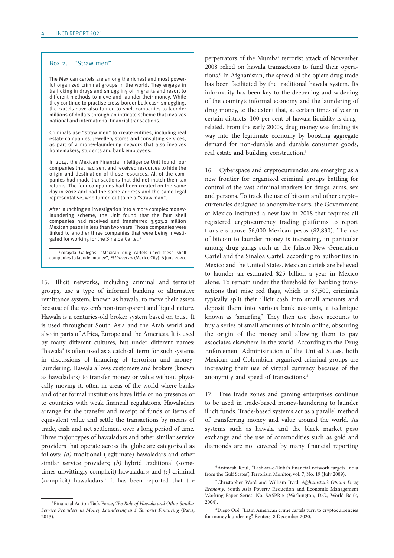#### Box 2. "Straw men"

The Mexican cartels are among the richest and most powerful organized criminal groups in the world. They engage in trafficking in drugs and smuggling of migrants and resort to different methods to move and launder their money. While they continue to practise cross-border bulk cash smuggling, the cartels have also turned to shell companies to launder millions of dollars through an intricate scheme that involves national and international financial transactions.

Criminals use "straw men" to create entities, including real estate companies, jewellery stores and consulting services, as part of a money-laundering network that also involves homemakers, students and bank employees.

In 2014, the Mexican Financial Intelligence Unit found four companies that had sent and received resources to hide the origin and destination of those resources. All of the companies had made transactions that did not match their tax returns. The four companies had been created on the same day in 2012 and had the same address and the same legal representative, who turned out to be a "straw man".

After launching an investigation into a more complex moneylaundering scheme, the Unit found that the four shell companies had received and transferred 3,523.2 million Mexican pesos in less than two years. Those companies were linked to another three companies that were being investigated for working for the Sinaloa Cartel.<sup>a</sup>

<sup>a</sup> Zorayda Gallegos, "Mexican drug cartels used these shell companies to launder money", El Universal (Mexico City), 6 June 2020.

15. Illicit networks, including criminal and terrorist groups, use a type of informal banking or alternative remittance system, known as hawala, to move their assets because of the system's non-transparent and liquid nature. Hawala is a centuries-old broker system based on trust. It is used throughout South Asia and the Arab world and also in parts of Africa, Europe and the Americas. It is used by many different cultures, but under different names: "hawala" is often used as a catch-all term for such systems in discussions of financing of terrorism and moneylaundering. Hawala allows customers and brokers (known as hawaladars) to transfer money or value without physically moving it, often in areas of the world where banks and other formal institutions have little or no presence or to countries with weak financial regulations. Hawaladars arrange for the transfer and receipt of funds or items of equivalent value and settle the transactions by means of trade, cash and net settlement over a long period of time. Three major types of hawaladars and other similar service providers that operate across the globe are categorized as follows: *(a)* traditional (legitimate) hawaladars and other similar service providers; *(b)* hybrid traditional (sometimes unwittingly complicit) hawaladars; and *(c)* criminal (complicit) hawaladars.<sup>5</sup> It has been reported that the perpetrators of the Mumbai terrorist attack of November 2008 relied on hawala transactions to fund their operations.<sup>6</sup> In Afghanistan, the spread of the opiate drug trade has been facilitated by the traditional hawala system. Its informality has been key to the deepening and widening of the country's informal economy and the laundering of drug money, to the extent that, at certain times of year in certain districts, 100 per cent of hawala liquidity is drugrelated. From the early 2000s, drug money was finding its way into the legitimate economy by boosting aggregate demand for non-durable and durable consumer goods, real estate and building construction.7

16. Cyberspace and cryptocurrencies are emerging as a new frontier for organized criminal groups battling for control of the vast criminal markets for drugs, arms, sex and persons. To track the use of bitcoin and other cryptocurrencies designed to anonymize users, the Government of Mexico instituted a new law in 2018 that requires all registered cryptocurrency trading platforms to report transfers above 56,000 Mexican pesos (\$2,830). The use of bitcoin to launder money is increasing, in particular among drug gangs such as the Jalisco New Generation Cartel and the Sinaloa Cartel, according to authorities in Mexico and the United States. Mexican cartels are believed to launder an estimated \$25 billion a year in Mexico alone. To remain under the threshold for banking transactions that raise red flags, which is \$7,500, criminals typically split their illicit cash into small amounts and deposit them into various bank accounts, a technique known as "smurfing". They then use those accounts to buy a series of small amounts of bitcoin online, obscuring the origin of the money and allowing them to pay associates elsewhere in the world. According to the Drug Enforcement Administration of the United States, both Mexican and Colombian organized criminal groups are increasing their use of virtual currency because of the anonymity and speed of transactions.8

17. Free trade zones and gaming enterprises continue to be used in trade-based money-laundering to launder illicit funds. Trade-based systems act as a parallel method of transferring money and value around the world. As systems such as hawala and the black market peso exchange and the use of commodities such as gold and diamonds are not covered by many financial reporting

<sup>5</sup>Financial Action Task Force, *The Role of Hawala and Other Similar Service Providers in Money Laundering and Terrorist Financing* (Paris, 2013).

<sup>6</sup>Animesh Roul, "Lashkar-e-Taiba's financial network targets India from the Gulf States", Terrorism Monitor, vol. 7, No. 19 (July 2009).

<sup>7</sup>Christopher Ward and William Byrd, *Afghanistan's Opium Drug Economy*, South Asia Poverty Reduction and Economic Management Working Paper Series, No. SASPR-5 (Washington, D.C., World Bank, 2004).

<sup>8</sup>Diego Oré, "Latin American crime cartels turn to cryptocurrencies for money laundering", Reuters, 8 December 2020.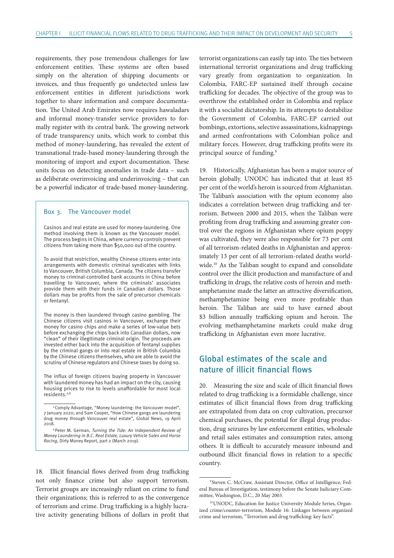requirements, they pose tremendous challenges for law enforcement entities. These systems are often based simply on the alteration of shipping documents or invoices, and thus frequently go undetected unless law enforcement entities in different jurisdictions work together to share information and compare documentation. The United Arab Emirates now requires hawaladars and informal money-transfer service providers to formally register with its central bank. The growing network of trade transparency units, which work to combat this method of money-laundering, has revealed the extent of transnational trade-based money-laundering through the monitoring of import and export documentation. These units focus on detecting anomalies in trade data – such as deliberate overinvoicing and underinvoicing – that can be a powerful indicator of trade-based money-laundering.

#### Box 3. The Vancouver model

Casinos and real estate are used for money-laundering. One method involving them is known as the Vancouver model. The process begins in China, where currency controls prevent citizens from taking more than \$50,000 out of the country.

To avoid that restriction, wealthy Chinese citizens enter into arrangements with domestic criminal syndicates with links to Vancouver, British Columbia, Canada. The citizens transfer money to criminal-controlled bank accounts in China before travelling to Vancouver, where the criminals' associates provide them with their funds in Canadian dollars. Those dollars may be profits from the sale of precursor chemicals or fentanyl.

The money is then laundered through casino gambling. The Chinese citizens visit casinos in Vancouver, exchange their money for casino chips and make a series of low-value bets before exchanging the chips back into Canadian dollars, now "clean" of their illegitimate criminal origin. The proceeds are invested either back into the acquisition of fentanyl supplies by the criminal gangs or into real estate in British Columbia by the Chinese citizens themselves, who are able to avoid the scrutiny of Chinese regulators and Chinese taxes by doing so.

The influx of foreign citizens buying property in Vancouver with laundered money has had an impact on the city, causing housing prices to rise to levels unaffordable for most local residents. $a,b$ 

18. Illicit financial flows derived from drug trafficking not only finance crime but also support terrorism. Terrorist groups are increasingly reliant on crime to fund their organizations; this is referred to as the convergence of terrorism and crime. Drug trafficking is a highly lucrative activity generating billions of dollars in profit that

terrorist organizations can easily tap into. The ties between international terrorist organizations and drug trafficking vary greatly from organization to organization. In Colombia, FARC-EP sustained itself through cocaine trafficking for decades. The objective of the group was to overthrow the established order in Colombia and replace it with a socialist dictatorship. In its attempts to destabilize the Government of Colombia, FARC-EP carried out bombings, extortions, selective assassinations, kidnappings and armed confrontations with Colombian police and military forces. However, drug trafficking profits were its principal source of funding.<sup>9</sup>

19. Historically, Afghanistan has been a major source of heroin globally. UNODC has indicated that at least 85 per cent of the world's heroin is sourced from Afghanistan. The Taliban's association with the opium economy also indicates a correlation between drug trafficking and terrorism. Between 2000 and 2015, when the Taliban were profiting from drug trafficking and assuming greater control over the regions in Afghanistan where opium poppy was cultivated, they were also responsible for 73 per cent of all terrorism-related deaths in Afghanistan and approximately 13 per cent of all terrorism-related deaths worldwide.<sup>10</sup> As the Taliban sought to expand and consolidate control over the illicit production and manufacture of and trafficking in drugs, the relative costs of heroin and methamphetamine made the latter an attractive diversification, methamphetamine being even more profitable than heroin. The Taliban are said to have earned about \$3 billion annually trafficking opium and heroin. The evolving methamphetamine markets could make drug trafficking in Afghanistan even more lucrative.

## Global estimates of the scale and nature of illicit financial flows

20. Measuring the size and scale of illicit financial flows related to drug trafficking is a formidable challenge, since estimates of illicit financial flows from drug trafficking are extrapolated from data on crop cultivation, precursor chemical purchases, the potential for illegal drug production, drug seizures by law enforcement entities, wholesale and retail sales estimates and consumption rates, among others. It is difficult to accurately measure inbound and outbound illicit financial flows in relation to a specific country.

<sup>&</sup>lt;sup>a</sup>Comply Advantage, "Money laundering: the Vancouver model", 7 January 2020; and Sam Cooper, "How Chinese gangs are laundering drug money through Vancouver real estate", Global News, 19 April 2018.

<sup>b</sup> Peter M. German, Turning the Tide: An Independent Review of Money Laundering in B.C. Real Estate, Luxury Vehicle Sales and Horse Racing, Dirty Money Report, part 2 (March 2019).

<sup>9</sup> Steven C. McCraw, Assistant Director, Office of Intelligence, Federal Bureau of Investigation, testimony before the Senate Judiciary Committee, Washington, D.C., 20 May 2003.

<sup>10</sup>UNODC, Education for Justice University Module Series, Organized crime/counter-terrorism, Module 16: Linkages between organized crime and terrorism, "Terrorism and drug trafficking: key facts".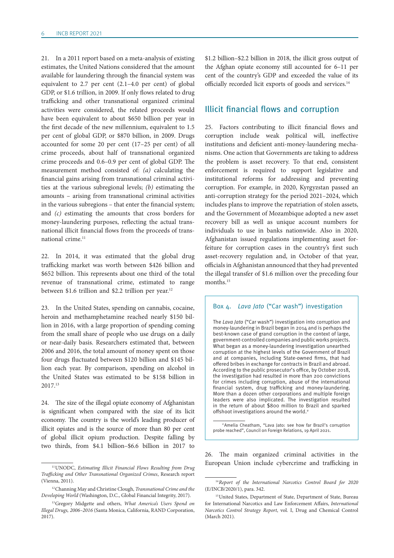21. In a 2011 report based on a meta-analysis of existing estimates, the United Nations considered that the amount available for laundering through the financial system was equivalent to 2.7 per cent (2.1–4.0 per cent) of global GDP, or \$1.6 trillion, in 2009. If only flows related to drug trafficking and other transnational organized criminal activities were considered, the related proceeds would have been equivalent to about \$650 billion per year in the first decade of the new millennium, equivalent to 1.5 per cent of global GDP, or \$870 billion, in 2009. Drugs accounted for some 20 per cent (17–25 per cent) of all crime proceeds, about half of transnational organized crime proceeds and 0.6–0.9 per cent of global GDP. The measurement method consisted of: *(a)* calculating the financial gains arising from transnational criminal activities at the various subregional levels; *(b)* estimating the amounts – arising from transnational criminal activities in the various subregions – that enter the financial system; and *(c)* estimating the amounts that cross borders for money-laundering purposes, reflecting the actual transnational illicit financial flows from the proceeds of transnational crime.<sup>11</sup>

22. In 2014, it was estimated that the global drug trafficking market was worth between \$426 billion and \$652 billion. This represents about one third of the total revenue of transnational crime, estimated to range between \$1.6 trillion and \$2.2 trillion per year.<sup>12</sup>

23. In the United States, spending on cannabis, cocaine, heroin and methamphetamine reached nearly \$150 billion in 2016, with a large proportion of spending coming from the small share of people who use drugs on a daily or near-daily basis. Researchers estimated that, between 2006 and 2016, the total amount of money spent on those four drugs fluctuated between \$120 billion and \$145 billion each year. By comparison, spending on alcohol in the United States was estimated to be \$158 billion in 2017.13

24. The size of the illegal opiate economy of Afghanistan is significant when compared with the size of its licit economy. The country is the world's leading producer of illicit opiates and is the source of more than 80 per cent of global illicit opium production. Despite falling by two thirds, from \$4.1 billion–\$6.6 billion in 2017 to

\$1.2 billion–\$2.2 billion in 2018, the illicit gross output of the Afghan opiate economy still accounted for 6–11 per cent of the country's GDP and exceeded the value of its officially recorded licit exports of goods and services.14

#### Illicit financial flows and corruption

25. Factors contributing to illicit financial flows and corruption include weak political will, ineffective institutions and deficient anti-money-laundering mechanisms. One action that Governments are taking to address the problem is asset recovery. To that end, consistent enforcement is required to support legislative and institutional reforms for addressing and preventing corruption. For example, in 2020, Kyrgyzstan passed an anti-corruption strategy for the period 2021–2024, which includes plans to improve the repatriation of stolen assets, and the Government of Mozambique adopted a new asset recovery bill as well as unique account numbers for individuals to use in banks nationwide. Also in 2020, Afghanistan issued regulations implementing asset forfeiture for corruption cases in the country's first such asset-recovery regulation and, in October of that year, officials in Afghanistan announced that they had prevented the illegal transfer of \$1.6 million over the preceding four months.<sup>15</sup>

#### Box 4. Lava Jato ("Car wash") investigation

The Lava Jato ("Car wash") investigation into corruption and money-laundering in Brazil began in 2014 and is perhaps the best-known case of grand corruption in the context of large, government-controlled companies and public works projects. What began as a money-laundering investigation unearthed corruption at the highest levels of the Government of Brazil and at companies, including State-owned firms, that had offered bribes in exchange for contracts in Brazil and abroad. According to the public prosecutor's office, by October 2018, the investigation had resulted in more than 200 convictions for crimes including corruption, abuse of the international financial system, drug trafficking and money-laundering. More than a dozen other corporations and multiple foreign leaders were also implicated. The investigation resulted in the return of about \$800 million to Brazil and sparked offshoot investigations around the world. $a$ 

<sup>a</sup> Amelia Cheatham, "Lava Jato: see how far Brazil's corruption probe reached", Council on Foreign Relations, 19 April 2021.

26. The main organized criminal activities in the European Union include cybercrime and trafficking in

<sup>11</sup>UNODC, *Estimating Illicit Financial Flows Resulting from Drug Trafficking and Other Transnational Organized Crimes*, Research report (Vienna, 2011).

<sup>12</sup>Channing May and Christine Clough, *Transnational Crime and the Developing World* (Washington, D.C., Global Financial Integrity, 2017).

<sup>13</sup>Gregory Midgette and others, *What America's Users Spend on Illegal Drugs, 2006–2016* (Santa Monica, California, RAND Corporation, 2017).

<sup>14</sup>*Report of the International Narcotics Control Board for 2020* (E/INCB/2020/1), para. 342.

<sup>&</sup>lt;sup>15</sup>United States, Department of State, Department of State, Bureau for International Narcotics and Law Enforcement Affairs, *International Narcotics Control Strategy Report*, vol. I, Drug and Chemical Control (March 2021).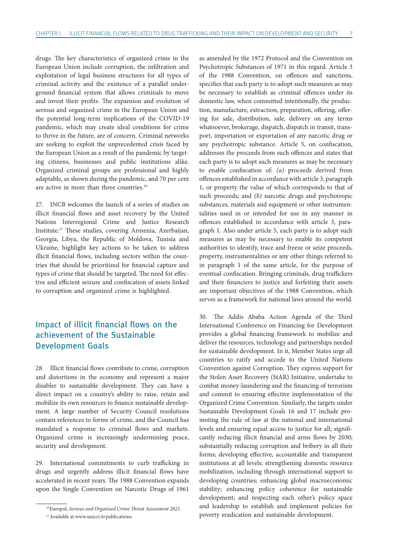drugs. The key characteristics of organized crime in the European Union include corruption, the infiltration and exploitation of legal business structures for all types of criminal activity and the existence of a parallel underground financial system that allows criminals to move and invest their profits. The expansion and evolution of serious and organized crime in the European Union and the potential long-term implications of the COVID-19 pandemic, which may create ideal conditions for crime to thrive in the future, are of concern. Criminal networks are seeking to exploit the unprecedented crisis faced by the European Union as a result of the pandemic by targeting citizens, businesses and public institutions alike. Organized criminal groups are professional and highly adaptable, as shown during the pandemic, and 70 per cent are active in more than three countries.16

27. INCB welcomes the launch of a series of studies on illicit financial flows and asset recovery by the United Nations Interregional Crime and Justice Research Institute.17 These studies, covering Armenia, Azerbaijan, Georgia, Libya, the Republic of Moldova, Tunisia and Ukraine, highlight key actions to be taken to address illicit financial flows, including sectors within the countries that should be prioritized for financial capture and types of crime that should be targeted. The need for effective and efficient seizure and confiscation of assets linked to corruption and organized crime is highlighted.

## Impact of illicit financial flows on the achievement of the Sustainable Development Goals

28. Illicit financial flows contribute to crime, corruption and distortions in the economy and represent a major disabler to sustainable development. They can have a direct impact on a country's ability to raise, retain and mobilize its own resources to finance sustainable development. A large number of Security Council resolutions contain references to forms of crime, and the Council has mandated a response to criminal flows and markets. Organized crime is increasingly undermining peace, security and development.

29. International commitments to curb trafficking in drugs and urgently address illicit financial flows have accelerated in recent years. The 1988 Convention expands upon the Single Convention on Narcotic Drugs of 1961

as amended by the 1972 Protocol and the Convention on Psychotropic Substances of 1971 in this regard. Article 3 of the 1988 Convention, on offences and sanctions, specifies that each party is to adopt such measures as may be necessary to establish as criminal offences under its domestic law, when committed intentionally, the production, manufacture, extraction, preparation, offering, offering for sale, distribution, sale, delivery on any terms whatsoever, brokerage, dispatch, dispatch in transit, transport, importation or exportation of any narcotic drug or any psychotropic substance. Article 5, on confiscation, addresses the proceeds from such offences and states that each party is to adopt such measures as may be necessary to enable confiscation of: *(a)* proceeds derived from offences established in accordance with article 3, paragraph 1, or property the value of which corresponds to that of such proceeds; and *(b)* narcotic drugs and psychotropic substances, materials and equipment or other instrumentalities used in or intended for use in any manner in offences established in accordance with article 3, paragraph 1. Also under article 5, each party is to adopt such measures as may be necessary to enable its competent authorities to identify, trace and freeze or seize proceeds, property, instrumentalities or any other things referred to in paragraph 1 of the same article, for the purpose of eventual confiscation. Bringing criminals, drug traffickers and their financiers to justice and forfeiting their assets are important objectives of the 1988 Convention, which serves as a framework for national laws around the world.

30. The Addis Ababa Action Agenda of the Third International Conference on Financing for Development provides a global financing framework to mobilize and deliver the resources, technology and partnerships needed for sustainable development. In it, Member States urge all countries to ratify and accede to the United Nations Convention against Corruption. They express support for the Stolen Asset Recovery (StAR) Initiative, undertake to combat money-laundering and the financing of terrorism and commit to ensuring effective implementation of the Organized Crime Convention. Similarly, the targets under Sustainable Development Goals 16 and 17 include promoting the rule of law at the national and international levels and ensuring equal access to justice for all; significantly reducing illicit financial and arms flows by 2030; substantially reducing corruption and bribery in all their forms; developing effective, accountable and transparent institutions at all levels; strengthening domestic resource mobilization, including through international support to developing countries; enhancing global macroeconomic stability; enhancing policy coherence for sustainable development; and respecting each other's policy space and leadership to establish and implement policies for poverty eradication and sustainable development.

<sup>16</sup>Europol, *Serious and Organised Crime Threat Assessment 2021*. 17Available at [www.unicri.it/publications.](http://www.unicri.it/publications)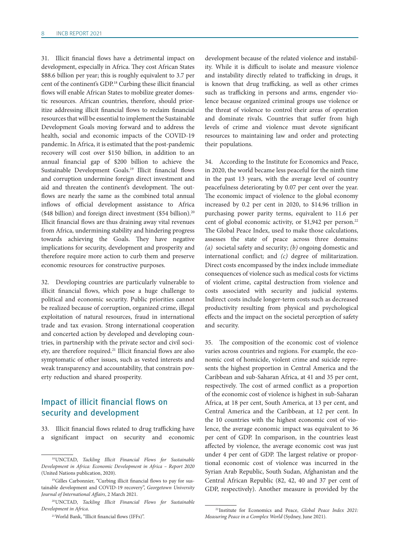31. Illicit financial flows have a detrimental impact on development, especially in Africa. They cost African States \$88.6 billion per year; this is roughly equivalent to 3.7 per cent of the continent's GDP.18 Curbing these illicit financial flows will enable African States to mobilize greater domestic resources. African countries, therefore, should prioritize addressing illicit financial flows to reclaim financial resources that will be essential to implement the Sustainable Development Goals moving forward and to address the health, social and economic impacts of the COVID-19 pandemic. In Africa, it is estimated that the post-pandemic recovery will cost over \$150 billion, in addition to an annual financial gap of \$200 billion to achieve the Sustainable Development Goals.19 Illicit financial flows and corruption undermine foreign direct investment and aid and threaten the continent's development. The outflows are nearly the same as the combined total annual inflows of official development assistance to Africa (\$48 billion) and foreign direct investment (\$54 billion).20 Illicit financial flows are thus draining away vital revenues from Africa, undermining stability and hindering progress towards achieving the Goals. They have negative implications for security, development and prosperity and therefore require more action to curb them and preserve economic resources for constructive purposes.

32. Developing countries are particularly vulnerable to illicit financial flows, which pose a huge challenge to political and economic security. Public priorities cannot be realized because of corruption, organized crime, illegal exploitation of natural resources, fraud in international trade and tax evasion. Strong international cooperation and concerted action by developed and developing countries, in partnership with the private sector and civil society, are therefore required.21 Illicit financial flows are also symptomatic of other issues, such as vested interests and weak transparency and accountability, that constrain poverty reduction and shared prosperity.

#### Impact of illicit financial flows on security and development

33. Illicit financial flows related to drug trafficking have a significant impact on security and economic

development because of the related violence and instability. While it is difficult to isolate and measure violence and instability directly related to trafficking in drugs, it is known that drug trafficking, as well as other crimes such as trafficking in persons and arms, engender violence because organized criminal groups use violence or the threat of violence to control their areas of operation and dominate rivals. Countries that suffer from high levels of crime and violence must devote significant resources to maintaining law and order and protecting their populations.

34. According to the Institute for Economics and Peace, in 2020, the world became less peaceful for the ninth time in the past 13 years, with the average level of country peacefulness deteriorating by 0.07 per cent over the year. The economic impact of violence to the global economy increased by 0.2 per cent in 2020, to \$14.96 trillion in purchasing power parity terms, equivalent to 11.6 per cent of global economic activity, or \$1,942 per person.<sup>22</sup> The Global Peace Index, used to make those calculations, assesses the state of peace across three domains: *(a)* societal safety and security; *(b)* ongoing domestic and international conflict; and *(c)* degree of militarization. Direct costs encompassed by the index include immediate consequences of violence such as medical costs for victims of violent crime, capital destruction from violence and costs associated with security and judicial systems. Indirect costs include longer-term costs such as decreased productivity resulting from physical and psychological effects and the impact on the societal perception of safety and security.

35. The composition of the economic cost of violence varies across countries and regions. For example, the economic cost of homicide, violent crime and suicide represents the highest proportion in Central America and the Caribbean and sub-Saharan Africa, at 41 and 35 per cent, respectively. The cost of armed conflict as a proportion of the economic cost of violence is highest in sub-Saharan Africa, at 18 per cent, South America, at 13 per cent, and Central America and the Caribbean, at 12 per cent. In the 10 countries with the highest economic cost of violence, the average economic impact was equivalent to 36 per cent of GDP. In comparison, in the countries least affected by violence, the average economic cost was just under 4 per cent of GDP. The largest relative or proportional economic cost of violence was incurred in the Syrian Arab Republic, South Sudan, Afghanistan and the Central African Republic (82, 42, 40 and 37 per cent of GDP, respectively). Another measure is provided by the

<sup>18</sup>UNCTAD, *Tackling Illicit Financial Flows for Sustainable Development in Africa: Economic Development in Africa – Report 2020* (United Nations publication, 2020).

<sup>19</sup>Gilles Carbonnier, "Curbing illicit financial flows to pay for sustainable development and COVID-19 recovery", *Georgetown University Journal of International Affairs*, 2 March 2021.

<sup>20</sup>UNCTAD, *Tackling Illicit Financial Flows for Sustainable Development in Africa*.

<sup>21</sup>World Bank, "Illicit financial flows (IFFs)".

<sup>22</sup> Institute for Economics and Peace, *Global Peace Index 2021: Measuring Peace in a Complex World* (Sydney, June 2021).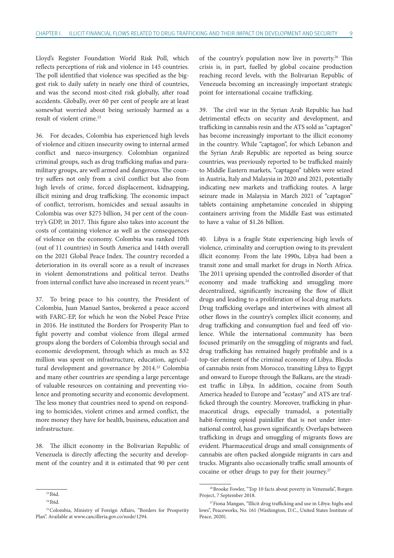Lloyd's Register Foundation World Risk Poll, which reflects perceptions of risk and violence in 145 countries. The poll identified that violence was specified as the biggest risk to daily safety in nearly one third of countries, and was the second most-cited risk globally, after road accidents. Globally, over 60 per cent of people are at least somewhat worried about being seriously harmed as a result of violent crime.<sup>23</sup>

36. For decades, Colombia has experienced high levels of violence and citizen insecurity owing to internal armed conflict and narco-insurgency. Colombian organized criminal groups, such as drug trafficking mafias and paramilitary groups, are well armed and dangerous. The country suffers not only from a civil conflict but also from high levels of crime, forced displacement, kidnapping, illicit mining and drug trafficking. The economic impact of conflict, terrorism, homicides and sexual assaults in Colombia was over \$275 billion, 34 per cent of the country's GDP, in 2017. This figure also takes into account the costs of containing violence as well as the consequences of violence on the economy. Colombia was ranked 10th (out of 11 countries) in South America and 144th overall on the 2021 Global Peace Index. The country recorded a deterioration in its overall score as a result of increases in violent demonstrations and political terror. Deaths from internal conflict have also increased in recent years.<sup>24</sup>

37. To bring peace to his country, the President of Colombia, Juan Manuel Santos, brokered a peace accord with FARC-EP, for which he won the Nobel Peace Prize in 2016. He instituted the Borders for Prosperity Plan to fight poverty and combat violence from illegal armed groups along the borders of Colombia through social and economic development, through which as much as \$32 million was spent on infrastructure, education, agricultural development and governance by 2014.<sup>25</sup> Colombia and many other countries are spending a large percentage of valuable resources on containing and preventing violence and promoting security and economic development. The less money that countries need to spend on responding to homicides, violent crimes and armed conflict, the more money they have for health, business, education and infrastructure.

38. The illicit economy in the Bolivarian Republic of Venezuela is directly affecting the security and development of the country and it is estimated that 90 per cent

of the country's population now live in poverty.<sup>26</sup> This crisis is, in part, fuelled by global cocaine production reaching record levels, with the Bolivarian Republic of Venezuela becoming an increasingly important strategic point for international cocaine trafficking.

39. The civil war in the Syrian Arab Republic has had detrimental effects on security and development, and trafficking in cannabis resin and the ATS sold as "captagon" has become increasingly important to the illicit economy in the country. While "captagon", for which Lebanon and the Syrian Arab Republic are reported as being source countries, was previously reported to be trafficked mainly to Middle Eastern markets, "captagon" tablets were seized in Austria, Italy and Malaysia in 2020 and 2021, potentially indicating new markets and trafficking routes. A large seizure made in Malaysia in March 2021 of "captagon" tablets containing amphetamine concealed in shipping containers arriving from the Middle East was estimated to have a value of \$1.26 billion.

40. Libya is a fragile State experiencing high levels of violence, criminality and corruption owing to its prevalent illicit economy. From the late 1990s, Libya had been a transit zone and small market for drugs in North Africa. The 2011 uprising upended the controlled disorder of that economy and made trafficking and smuggling more decentralized, significantly increasing the flow of illicit drugs and leading to a proliferation of local drug markets. Drug trafficking overlaps and intertwines with almost all other flows in the country's complex illicit economy, and drug trafficking and consumption fuel and feed off violence. While the international community has been focused primarily on the smuggling of migrants and fuel, drug trafficking has remained hugely profitable and is a top-tier element of the criminal economy of Libya. Blocks of cannabis resin from Morocco, transiting Libya to Egypt and onward to Europe through the Balkans, are the steadiest traffic in Libya. In addition, cocaine from South America headed to Europe and "ecstasy" and ATS are trafficked through the country. Moreover, trafficking in pharmaceutical drugs, especially tramadol, a potentially habit-forming opioid painkiller that is not under international control, has grown significantly. Overlaps between trafficking in drugs and smuggling of migrants flows are evident. Pharmaceutical drugs and small consignments of cannabis are often packed alongside migrants in cars and trucks. Migrants also occasionally traffic small amounts of cocaine or other drugs to pay for their journey.<sup>27</sup>

<sup>23</sup> Ibid.

 $24$  Ibid.

<sup>&</sup>lt;sup>25</sup> Colombia, Ministry of Foreign Affairs, "Borders for Prosperity Plan". Available at [www.cancilleria.gov.co/node/1294](http://www.cancilleria.gov.co/node/1294).

<sup>26</sup>Brooke Fowler, "Top 10 facts about poverty in Venezuela", Borgen Project, 7 September 2018.

<sup>&</sup>lt;sup>27</sup>Fiona Mangan, "Illicit drug trafficking and use in Libya: highs and lows", Peaceworks, No. 161 (Washington, D.C., United States Institute of Peace, 2020).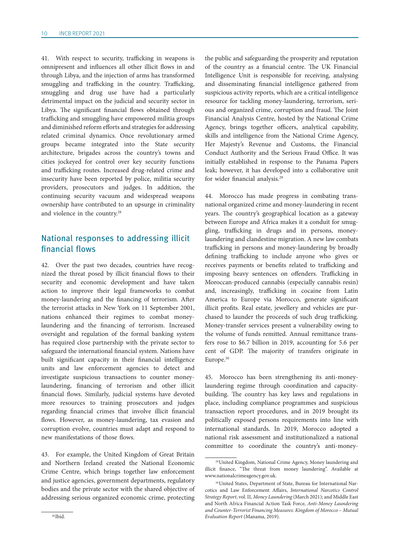41. With respect to security, trafficking in weapons is omnipresent and influences all other illicit flows in and through Libya, and the injection of arms has transformed smuggling and trafficking in the country. Trafficking, smuggling and drug use have had a particularly detrimental impact on the judicial and security sector in Libya. The significant financial flows obtained through trafficking and smuggling have empowered militia groups and diminished reform efforts and strategies for addressing related criminal dynamics. Once revolutionary armed groups became integrated into the State security architecture, brigades across the country's towns and cities jockeyed for control over key security functions and trafficking routes. Increased drug-related crime and insecurity have been reported by police, militia security providers, prosecutors and judges. In addition, the continuing security vacuum and widespread weapons ownership have contributed to an upsurge in criminality and violence in the country.28

#### National responses to addressing illicit financial flows

42. Over the past two decades, countries have recognized the threat posed by illicit financial flows to their security and economic development and have taken action to improve their legal frameworks to combat money-laundering and the financing of terrorism. After the terrorist attacks in New York on 11 September 2001, nations enhanced their regimes to combat moneylaundering and the financing of terrorism. Increased oversight and regulation of the formal banking system has required close partnership with the private sector to safeguard the international financial system. Nations have built significant capacity in their financial intelligence units and law enforcement agencies to detect and investigate suspicious transactions to counter moneylaundering, financing of terrorism and other illicit financial flows. Similarly, judicial systems have devoted more resources to training prosecutors and judges regarding financial crimes that involve illicit financial flows. However, as money-laundering, tax evasion and corruption evolve, countries must adapt and respond to new manifestations of those flows.

43. For example, the United Kingdom of Great Britain and Northern Ireland created the National Economic Crime Centre, which brings together law enforcement and justice agencies, government departments, regulatory bodies and the private sector with the shared objective of addressing serious organized economic crime, protecting the public and safeguarding the prosperity and reputation of the country as a financial centre. The UK Financial Intelligence Unit is responsible for receiving, analysing and disseminating financial intelligence gathered from suspicious activity reports, which are a critical intelligence resource for tackling money-laundering, terrorism, serious and organized crime, corruption and fraud. The Joint Financial Analysis Centre, hosted by the National Crime Agency, brings together officers, analytical capability, skills and intelligence from the National Crime Agency, Her Majesty's Revenue and Customs, the Financial Conduct Authority and the Serious Fraud Office. It was initially established in response to the Panama Papers leak; however, it has developed into a collaborative unit for wider financial analysis.29

44. Morocco has made progress in combating transnational organized crime and money-laundering in recent years. The country's geographical location as a gateway between Europe and Africa makes it a conduit for smuggling, trafficking in drugs and in persons, moneylaundering and clandestine migration. A new law combats trafficking in persons and money-laundering by broadly defining trafficking to include anyone who gives or receives payments or benefits related to trafficking and imposing heavy sentences on offenders. Trafficking in Moroccan-produced cannabis (especially cannabis resin) and, increasingly, trafficking in cocaine from Latin America to Europe via Morocco, generate significant illicit profits. Real estate, jewellery and vehicles are purchased to launder the proceeds of such drug trafficking. Money-transfer services present a vulnerability owing to the volume of funds remitted. Annual remittance transfers rose to \$6.7 billion in 2019, accounting for 5.6 per cent of GDP. The majority of transfers originate in Europe.30

45. Morocco has been strengthening its anti-moneylaundering regime through coordination and capacitybuilding. The country has key laws and regulations in place, including compliance programmes and suspicious transaction report procedures, and in 2019 brought its politically exposed persons requirements into line with international standards. In 2019, Morocco adopted a national risk assessment and institutionalized a national committee to coordinate the country's anti-money-

<sup>29</sup>United Kingdom, National Crime Agency, Money laundering and illicit finance, "The threat from money laundering". Available at [www.nationalcrimeagency.gov.uk](http://www.nationalcrimeagency.gov.uk).

<sup>30</sup>United States, Department of State, Bureau for International Narcotics and Law Enforcement Affairs, *International Narcotics Control Strategy Report*, vol. II, *Money Laundering* (March 2021); and Middle East and North Africa Financial Action Task Force, *Anti*-*Money Laundering and Counter*-*Terrorist Financing Measures: Kingdom of Morocco – Mutual Evaluation Report* (Manama, 2019).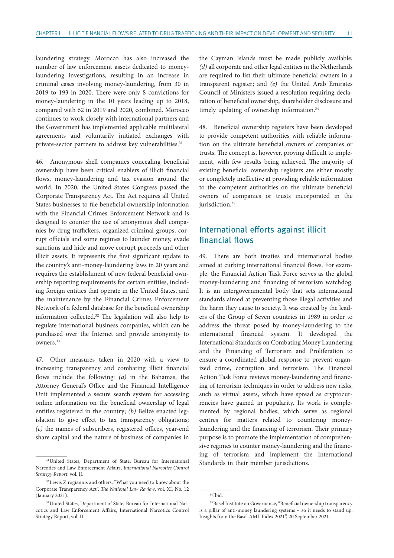laundering strategy. Morocco has also increased the number of law enforcement assets dedicated to moneylaundering investigations, resulting in an increase in criminal cases involving money-laundering, from 30 in 2019 to 193 in 2020. There were only 8 convictions for money-laundering in the 10 years leading up to 2018, compared with 62 in 2019 and 2020, combined. Morocco continues to work closely with international partners and the Government has implemented applicable multilateral agreements and voluntarily initiated exchanges with private-sector partners to address key vulnerabilities.<sup>31</sup>

46. Anonymous shell companies concealing beneficial ownership have been critical enablers of illicit financial flows, money-laundering and tax evasion around the world. In 2020, the United States Congress passed the Corporate Transparency Act. The Act requires all United States businesses to file beneficial ownership information with the Financial Crimes Enforcement Network and is designed to counter the use of anonymous shell companies by drug traffickers, organized criminal groups, corrupt officials and some regimes to launder money, evade sanctions and hide and move corrupt proceeds and other illicit assets. It represents the first significant update to the country's anti-money-laundering laws in 20 years and requires the establishment of new federal beneficial ownership reporting requirements for certain entities, including foreign entities that operate in the United States, and the maintenance by the Financial Crimes Enforcement Network of a federal database for the beneficial ownership information collected.32 The legislation will also help to regulate international business companies, which can be purchased over the Internet and provide anonymity to owners.33

47. Other measures taken in 2020 with a view to increasing transparency and combating illicit financial flows include the following: *(a)* in the Bahamas, the Attorney General's Office and the Financial Intelligence Unit implemented a secure search system for accessing online information on the beneficial ownership of legal entities registered in the country; *(b)* Belize enacted legislation to give effect to tax transparency obligations; *(c)* the names of subscribers, registered offices, year-end share capital and the nature of business of companies in

the Cayman Islands must be made publicly available; *(d)* all corporate and other legal entities in the Netherlands are required to list their ultimate beneficial owners in a transparent register; and *(e)* the United Arab Emirates Council of Ministers issued a resolution requiring declaration of beneficial ownership, shareholder disclosure and timely updating of ownership information.<sup>34</sup>

48. Beneficial ownership registers have been developed to provide competent authorities with reliable information on the ultimate beneficial owners of companies or trusts. The concept is, however, proving difficult to implement, with few results being achieved. The majority of existing beneficial ownership registers are either mostly or completely ineffective at providing reliable information to the competent authorities on the ultimate beneficial owners of companies or trusts incorporated in the jurisdiction.<sup>35</sup>

### International efforts against illicit financial flows

49. There are both treaties and international bodies aimed at curbing international financial flows. For example, the Financial Action Task Force serves as the global money-laundering and financing of terrorism watchdog. It is an intergovernmental body that sets international standards aimed at preventing those illegal activities and the harm they cause to society. It was created by the leaders of the Group of Seven countries in 1989 in order to address the threat posed by money-laundering to the international financial system. It developed the International Standards on Combating Money Laundering and the Financing of Terrorism and Proliferation to ensure a coordinated global response to prevent organized crime, corruption and terrorism. The Financial Action Task Force reviews money-laundering and financing of terrorism techniques in order to address new risks, such as virtual assets, which have spread as cryptocurrencies have gained in popularity. Its work is complemented by regional bodies, which serve as regional centres for matters related to countering moneylaundering and the financing of terrorism. Their primary purpose is to promote the implementation of comprehensive regimes to counter money-laundering and the financing of terrorism and implement the International Standards in their member jurisdictions.

<sup>&</sup>lt;sup>31</sup>United States, Department of State, Bureau for International Narcotics and Law Enforcement Affairs, *International Narcotics Control Strategy Report*, vol. II.

<sup>32</sup>Lewis Zirogiannis and others, "What you need to know about the Corporate Transparency Act", *The National Law Review*, vol. XI, No. 12 (January 2021).

<sup>33</sup>United States, Department of State, Bureau for International Narcotics and Law Enforcement Affairs, International Narcotics Control Strategy Report, vol. II.

<sup>34</sup> Ibid.

<sup>&</sup>lt;sup>35</sup>Basel Institute on Governance, "Beneficial ownership transparency is a pillar of anti-money laundering systems – so it needs to stand up. Insights from the Basel AML Index 2021", 20 September 2021.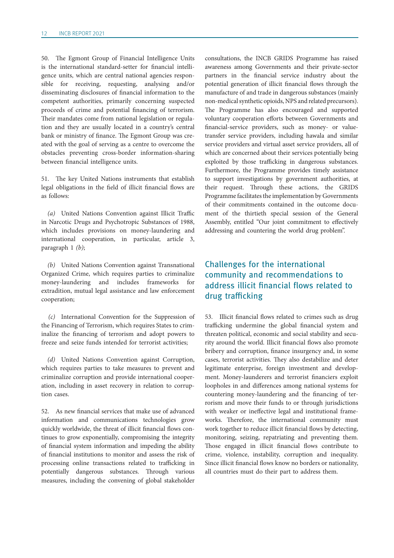50. The Egmont Group of Financial Intelligence Units is the international standard-setter for financial intelligence units, which are central national agencies responsible for receiving, requesting, analysing and/or disseminating disclosures of financial information to the competent authorities, primarily concerning suspected proceeds of crime and potential financing of terrorism. Their mandates come from national legislation or regulation and they are usually located in a country's central bank or ministry of finance. The Egmont Group was created with the goal of serving as a centre to overcome the obstacles preventing cross-border information-sharing between financial intelligence units.

51. The key United Nations instruments that establish legal obligations in the field of illicit financial flows are as follows:

*(a)* United Nations Convention against Illicit Traffic in Narcotic Drugs and Psychotropic Substances of 1988, which includes provisions on money-laundering and international cooperation, in particular, article 3, paragraph 1 *(b)*;

*(b)* United Nations Convention against Transnational Organized Crime, which requires parties to criminalize money-laundering and includes frameworks for extradition, mutual legal assistance and law enforcement cooperation;

*(c)* International Convention for the Suppression of the Financing of Terrorism, which requires States to criminalize the financing of terrorism and adopt powers to freeze and seize funds intended for terrorist activities;

*(d)* United Nations Convention against Corruption, which requires parties to take measures to prevent and criminalize corruption and provide international cooperation, including in asset recovery in relation to corruption cases.

52. As new financial services that make use of advanced information and communications technologies grow quickly worldwide, the threat of illicit financial flows continues to grow exponentially, compromising the integrity of financial system information and impeding the ability of financial institutions to monitor and assess the risk of processing online transactions related to trafficking in potentially dangerous substances. Through various measures, including the convening of global stakeholder

consultations, the INCB GRIDS Programme has raised awareness among Governments and their private-sector partners in the financial service industry about the potential generation of illicit financial flows through the manufacture of and trade in dangerous substances (mainly non-medical synthetic opioids, NPS and related precursors). The Programme has also encouraged and supported voluntary cooperation efforts between Governments and financial-service providers, such as money- or valuetransfer service providers, including hawala and similar service providers and virtual asset service providers, all of which are concerned about their services potentially being exploited by those trafficking in dangerous substances. Furthermore, the Programme provides timely assistance to support investigations by government authorities, at their request. Through these actions, the GRIDS Programme facilitates the implementation by Governments of their commitments contained in the outcome document of the thirtieth special session of the General Assembly, entitled "Our joint commitment to effectively addressing and countering the world drug problem".

## Challenges for the international community and recommendations to address illicit financial flows related to drug trafficking

53. Illicit financial flows related to crimes such as drug trafficking undermine the global financial system and threaten political, economic and social stability and security around the world. Illicit financial flows also promote bribery and corruption, finance insurgency and, in some cases, terrorist activities. They also destabilize and deter legitimate enterprise, foreign investment and development. Money-launderers and terrorist financiers exploit loopholes in and differences among national systems for countering money-laundering and the financing of terrorism and move their funds to or through jurisdictions with weaker or ineffective legal and institutional frameworks. Therefore, the international community must work together to reduce illicit financial flows by detecting, monitoring, seizing, repatriating and preventing them. Those engaged in illicit financial flows contribute to crime, violence, instability, corruption and inequality. Since illicit financial flows know no borders or nationality, all countries must do their part to address them.